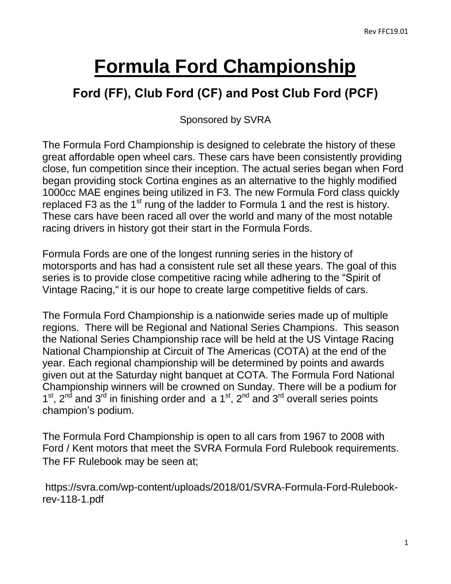# **Formula Ford Championship**

## **Ford (FF), Club Ford (CF) and Post Club Ford (PCF)**

Sponsored by SVRA

The Formula Ford Championship is designed to celebrate the history of these great affordable open wheel cars. These cars have been consistently providing close, fun competition since their inception. The actual series began when Ford began providing stock Cortina engines as an alternative to the highly modified 1000cc MAE engines being utilized in F3. The new Formula Ford class quickly replaced F3 as the 1 $st$  rung of the ladder to Formula 1 and the rest is history. These cars have been raced all over the world and many of the most notable racing drivers in history got their start in the Formula Fords.

Formula Fords are one of the longest running series in the history of motorsports and has had a consistent rule set all these years. The goal of this series is to provide close competitive racing while adhering to the "Spirit of Vintage Racing," it is our hope to create large competitive fields of cars.

The Formula Ford Championship is a nationwide series made up of multiple regions. There will be Regional and National Series Champions. This season the National Series Championship race will be held at the US Vintage Racing National Championship at Circuit of The Americas (COTA) at the end of the year. Each regional championship will be determined by points and awards given out at the Saturday night banquet at COTA. The Formula Ford National Championship winners will be crowned on Sunday. There will be a podium for  $1<sup>st</sup>$ ,  $2<sup>nd</sup>$  and  $3<sup>rd</sup>$  in finishing order and a  $1<sup>st</sup>$ ,  $2<sup>nd</sup>$  and  $3<sup>rd</sup>$  overall series points champion's podium.

The Formula Ford Championship is open to all cars from 1967 to 2008 with Ford / Kent motors that meet the SVRA Formula Ford Rulebook requirements. The FF Rulebook may be seen at;

https://svra.com/wp-content/uploads/2018/01/SVRA-Formula-Ford-Rulebookrev-118-1.pdf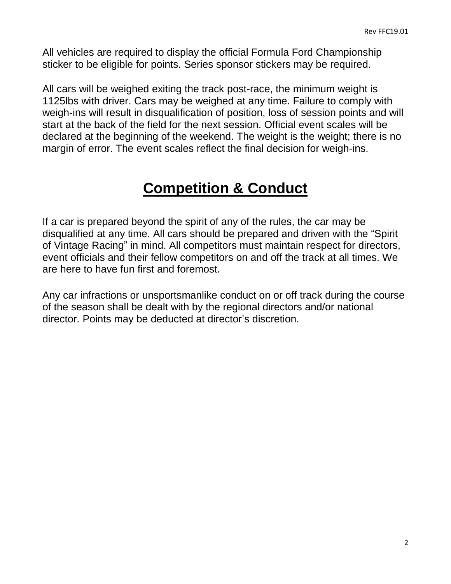All vehicles are required to display the official Formula Ford Championship sticker to be eligible for points. Series sponsor stickers may be required.

All cars will be weighed exiting the track post-race, the minimum weight is 1125lbs with driver. Cars may be weighed at any time. Failure to comply with weigh-ins will result in disqualification of position, loss of session points and will start at the back of the field for the next session. Official event scales will be declared at the beginning of the weekend. The weight is the weight; there is no margin of error. The event scales reflect the final decision for weigh-ins.

## **Competition & Conduct**

If a car is prepared beyond the spirit of any of the rules, the car may be disqualified at any time. All cars should be prepared and driven with the "Spirit of Vintage Racing" in mind. All competitors must maintain respect for directors, event officials and their fellow competitors on and off the track at all times. We are here to have fun first and foremost.

Any car infractions or unsportsmanlike conduct on or off track during the course of the season shall be dealt with by the regional directors and/or national director. Points may be deducted at director's discretion.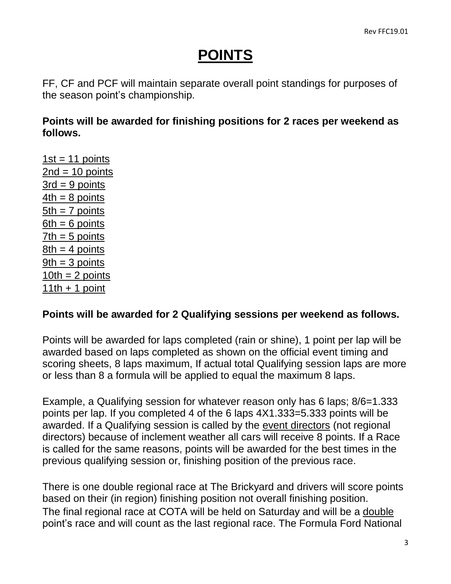## **POINTS**

FF, CF and PCF will maintain separate overall point standings for purposes of the season point's championship.

#### **Points will be awarded for finishing positions for 2 races per weekend as follows.**

 $1st = 11$  points  $2nd = 10$  points  $3rd = 9$  points  $4th = 8$  points  $5th = 7$  points  $6th = 6$  points  $7th = 5$  points  $8th = 4$  points  $9th = 3$  points  $10th = 2$  points  $11th + 1$  point

#### **Points will be awarded for 2 Qualifying sessions per weekend as follows.**

Points will be awarded for laps completed (rain or shine), 1 point per lap will be awarded based on laps completed as shown on the official event timing and scoring sheets, 8 laps maximum, If actual total Qualifying session laps are more or less than 8 a formula will be applied to equal the maximum 8 laps.

Example, a Qualifying session for whatever reason only has 6 laps; 8/6=1.333 points per lap. If you completed 4 of the 6 laps 4X1.333=5.333 points will be awarded. If a Qualifying session is called by the event directors (not regional directors) because of inclement weather all cars will receive 8 points. If a Race is called for the same reasons, points will be awarded for the best times in the previous qualifying session or, finishing position of the previous race.

There is one double regional race at The Brickyard and drivers will score points based on their (in region) finishing position not overall finishing position. The final regional race at COTA will be held on Saturday and will be a double point's race and will count as the last regional race. The Formula Ford National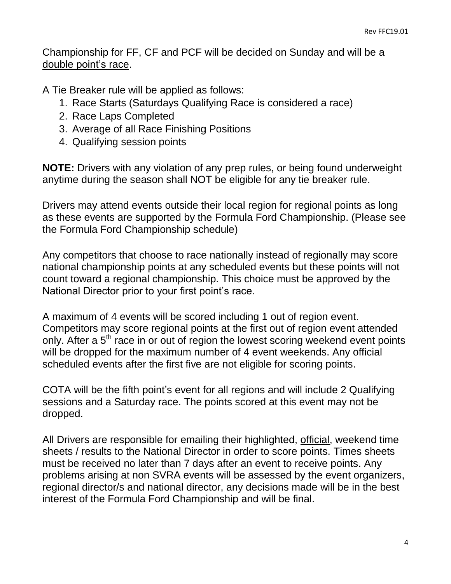Championship for FF, CF and PCF will be decided on Sunday and will be a double point's race.

A Tie Breaker rule will be applied as follows:

- 1. Race Starts (Saturdays Qualifying Race is considered a race)
- 2. Race Laps Completed
- 3. Average of all Race Finishing Positions
- 4. Qualifying session points

**NOTE:** Drivers with any violation of any prep rules, or being found underweight anytime during the season shall NOT be eligible for any tie breaker rule.

Drivers may attend events outside their local region for regional points as long as these events are supported by the Formula Ford Championship. (Please see the Formula Ford Championship schedule)

Any competitors that choose to race nationally instead of regionally may score national championship points at any scheduled events but these points will not count toward a regional championship. This choice must be approved by the National Director prior to your first point's race.

A maximum of 4 events will be scored including 1 out of region event. Competitors may score regional points at the first out of region event attended only. After a  $5<sup>th</sup>$  race in or out of region the lowest scoring weekend event points will be dropped for the maximum number of 4 event weekends. Any official scheduled events after the first five are not eligible for scoring points.

COTA will be the fifth point's event for all regions and will include 2 Qualifying sessions and a Saturday race. The points scored at this event may not be dropped.

All Drivers are responsible for emailing their highlighted, official, weekend time sheets / results to the National Director in order to score points. Times sheets must be received no later than 7 days after an event to receive points. Any problems arising at non SVRA events will be assessed by the event organizers, regional director/s and national director, any decisions made will be in the best interest of the Formula Ford Championship and will be final.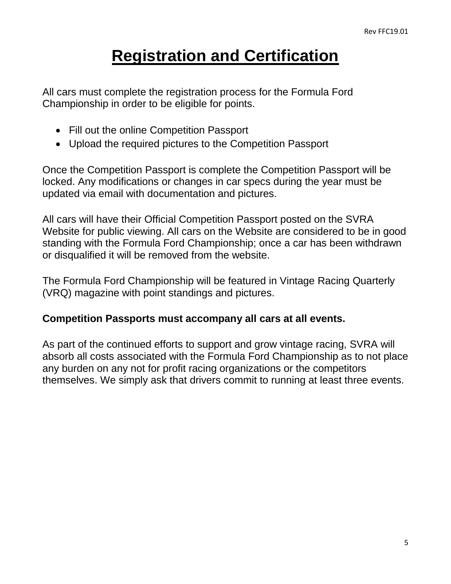## **Registration and Certification**

All cars must complete the registration process for the Formula Ford Championship in order to be eligible for points.

- Fill out the online Competition Passport
- Upload the required pictures to the Competition Passport

Once the Competition Passport is complete the Competition Passport will be locked. Any modifications or changes in car specs during the year must be updated via email with documentation and pictures.

All cars will have their Official Competition Passport posted on the SVRA Website for public viewing. All cars on the Website are considered to be in good standing with the Formula Ford Championship; once a car has been withdrawn or disqualified it will be removed from the website.

The Formula Ford Championship will be featured in Vintage Racing Quarterly (VRQ) magazine with point standings and pictures.

#### **Competition Passports must accompany all cars at all events.**

As part of the continued efforts to support and grow vintage racing, SVRA will absorb all costs associated with the Formula Ford Championship as to not place any burden on any not for profit racing organizations or the competitors themselves. We simply ask that drivers commit to running at least three events.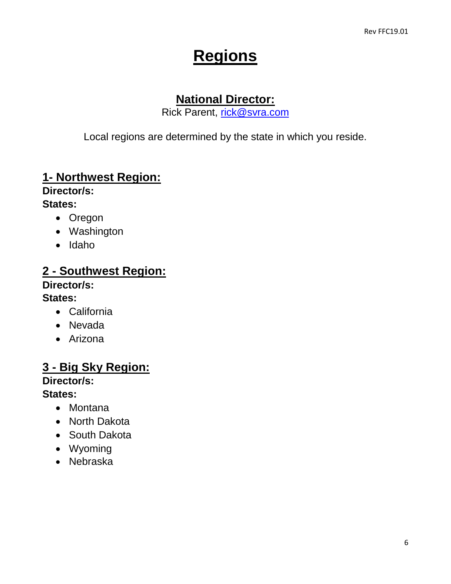## **Regions**

### **National Director:**

Rick Parent, [rick@svra.com](mailto:rick@svra.com)

Local regions are determined by the state in which you reside.

### **1- Northwest Region:**

**Director/s:**

#### **States:**

- Oregon
- Washington
- Idaho

#### **2 - Southwest Region:**

#### **Director/s:**

#### **States:**

- California
- Nevada
- Arizona

## **3 - Big Sky Region:**

#### **Director/s:**

#### **States:**

- Montana
- North Dakota
- South Dakota
- Wyoming
- Nebraska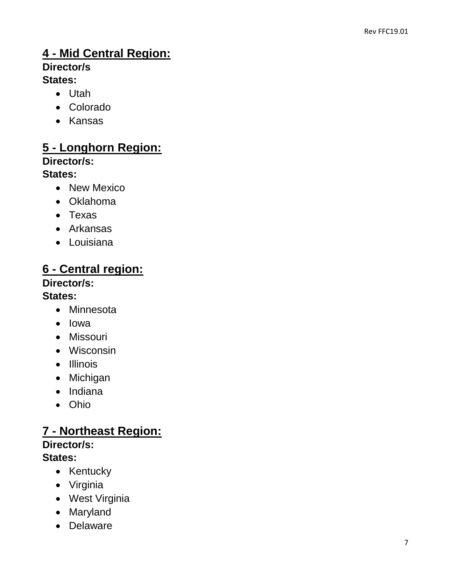## **4 - Mid Central Region:**

## **Director/s**

#### **States:**

- Utah
- Colorado
- Kansas

## **5 - Longhorn Region:**

#### **Director/s:**

#### **States:**

- New Mexico
- Oklahoma
- Texas
- Arkansas
- Louisiana

## **6 - Central region:**

#### **Director/s:**

#### **States:**

- Minnesota
- Iowa
- Missouri
- Wisconsin
- Illinois
- Michigan
- Indiana
- Ohio

#### **7 - Northeast Region: Director/s: States:**

- Kentucky
- Virginia
- West Virginia
- Maryland
- Delaware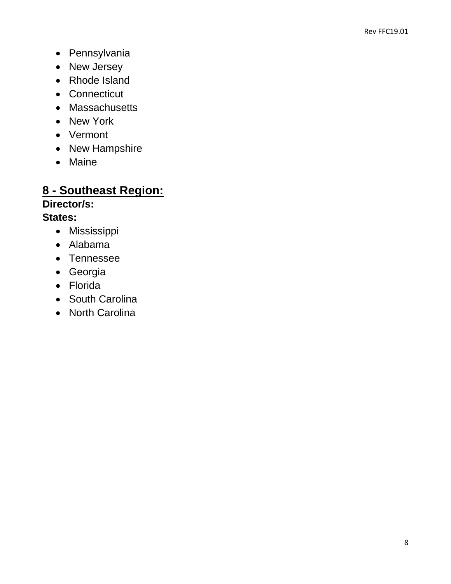- Pennsylvania
- New Jersey
- Rhode Island
- Connecticut
- Massachusetts
- New York
- Vermont
- New Hampshire
- Maine

## **8 - Southeast Region:**

#### **Director/s: States:**

- Mississippi
- Alabama
- Tennessee
- Georgia
- Florida
- South Carolina
- North Carolina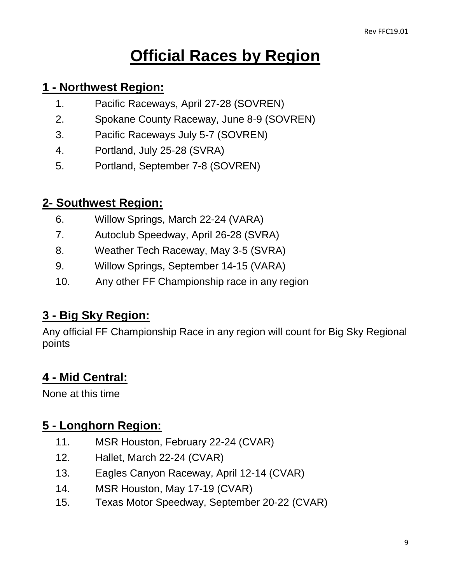## **Official Races by Region**

#### **1 - Northwest Region:**

- 1. Pacific Raceways, April 27-28 (SOVREN)
- 2. Spokane County Raceway, June 8-9 (SOVREN)
- 3. Pacific Raceways July 5-7 (SOVREN)
- 4. Portland, July 25-28 (SVRA)
- 5. Portland, September 7-8 (SOVREN)

### **2- Southwest Region:**

- 6. Willow Springs, March 22-24 (VARA)
- 7. Autoclub Speedway, April 26-28 (SVRA)
- 8. Weather Tech Raceway, May 3-5 (SVRA)
- 9. Willow Springs, September 14-15 (VARA)
- 10. Any other FF Championship race in any region

## **3 - Big Sky Region:**

Any official FF Championship Race in any region will count for Big Sky Regional points

## **4 - Mid Central:**

None at this time

## **5 - Longhorn Region:**

- 11. MSR Houston, February 22-24 (CVAR)
- 12. Hallet, March 22-24 (CVAR)
- 13. Eagles Canyon Raceway, April 12-14 (CVAR)
- 14. MSR Houston, May 17-19 (CVAR)
- 15. Texas Motor Speedway, September 20-22 (CVAR)